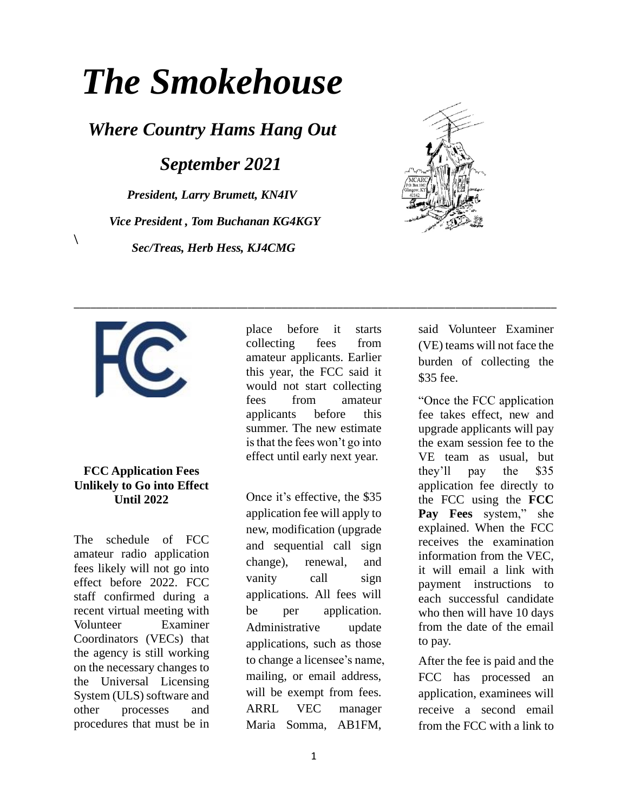# *The Smokehouse*

*Where Country Hams Hang Out*

*September 2021*

*President, Larry Brumett, KN4IV Vice President , Tom Buchanan KG4KGY Sec/Treas, Herb Hess, KJ4CMG*





 $\setminus$ 

## **FCC Application Fees Unlikely to Go into Effect Until 2022**

The schedule of FCC amateur radio application fees likely will not go into effect before 2022. FCC staff confirmed during a recent virtual meeting with Volunteer Examiner Coordinators (VECs) that the agency is still working on the necessary changes to the Universal Licensing System (ULS) software and other processes and procedures that must be in place before it starts collecting fees from amateur applicants. Earlier this year, the FCC said it would not start collecting fees from amateur applicants before this summer. The new estimate is that the fees won't go into effect until early next year.

\_\_\_\_\_\_\_\_\_\_\_\_\_\_\_\_\_\_\_\_\_\_\_\_\_\_\_\_\_\_\_\_\_\_\_\_\_\_\_\_\_\_\_\_\_\_\_\_\_\_\_\_\_\_\_\_\_\_\_\_\_\_\_\_\_\_\_\_\_\_\_\_\_\_\_\_\_\_\_\_\_\_\_\_\_\_

Once it's effective, the \$35 application fee will apply to new, modification (upgrade and sequential call sign change), renewal, and vanity call sign applications. All fees will be per application. Administrative update applications, such as those to change a licensee's name, mailing, or email address, will be exempt from fees. ARRL VEC manager Maria Somma, AB1FM,

said Volunteer Examiner (VE) teams will not face the burden of collecting the \$35 fee.

"Once the FCC application fee takes effect, new and upgrade applicants will pay the exam session fee to the VE team as usual, but they'll pay the \$35 application fee directly to the FCC using the **[FCC](https://apps2.fcc.gov/Batch_Filer/login.cfm)  [Pay Fees](https://apps2.fcc.gov/Batch_Filer/login.cfm)** system," she explained. When the FCC receives the examination information from the VEC, it will email a link with payment instructions to each successful candidate who then will have 10 days from the date of the email to pay.

After the fee is paid and the FCC has processed an application, examinees will receive a second email from the FCC with a link to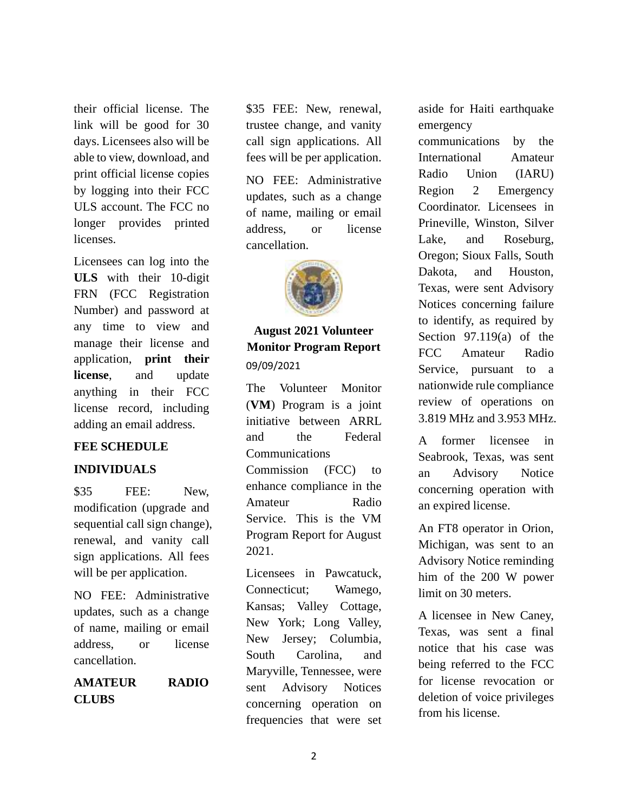their official license. The link will be good for 30 days. Licensees also will be able to view, download, and print official license copies by logging into their FCC ULS account. The FCC no longer provides printed licenses.

Licensees can log into the **[ULS](https://www.fcc.gov/wireless/universal-licensing-system)** with their 10-digit FRN (FCC Registration Number) and password at any time to view and manage their license and application, **[print their](http://www.arrl.org/obtain-license-copy)  [license](http://www.arrl.org/obtain-license-copy)**, and update anything in their FCC license record, including adding an email address.

# **FEE SCHEDULE**

#### **INDIVIDUALS**

\$35 FEE: New, modification (upgrade and sequential call sign change), renewal, and vanity call sign applications. All fees will be per application.

NO FEE: Administrative updates, such as a change of name, mailing or email address, or license cancellation.

# **AMATEUR RADIO CLUBS**

\$35 FEE: New, renewal, trustee change, and vanity call sign applications. All fees will be per application.

NO FEE: Administrative updates, such as a change of name, mailing or email address, or license cancellation.



# **August 2021 Volunteer Monitor Program Report** 09/09/2021

The Volunteer Monitor (**[VM](https://www.arrl.org/volunteer-monitor-program)**) Program is a joint initiative between ARRL and the Federal Communications Commission (FCC) to enhance compliance in the Amateur Radio Service. This is the VM Program Report for August 2021.

Licensees in Pawcatuck, Connecticut; Wamego, Kansas; Valley Cottage, New York; Long Valley, New Jersey; Columbia, South Carolina, and Maryville, Tennessee, were sent Advisory Notices concerning operation on frequencies that were set

aside for Haiti earthquake emergency

communications by the International Amateur Radio Union (IARU) Region 2 Emergency Coordinator. Licensees in Prineville, Winston, Silver Lake, and Roseburg, Oregon; Sioux Falls, South Dakota, and Houston, Texas, were sent Advisory Notices concerning failure to identify, as required by Section 97.119(a) of the FCC Amateur Radio Service, pursuant to a nationwide rule compliance review of operations on 3.819 MHz and 3.953 MHz.

A former licensee in Seabrook, Texas, was sent an Advisory Notice concerning operation with an expired license.

An FT8 operator in Orion, Michigan, was sent to an Advisory Notice reminding him of the 200 W power limit on 30 meters.

A licensee in New Caney, Texas, was sent a final notice that his case was being referred to the FCC for license revocation or deletion of voice privileges from his license.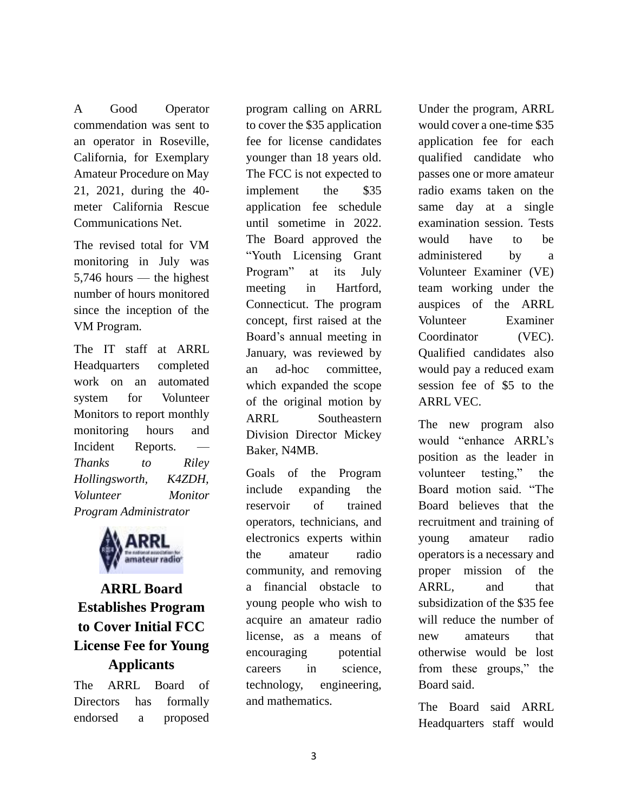A Good Operator commendation was sent to an operator in Roseville, California, for Exemplary Amateur Procedure on May 21, 2021, during the 40 meter California Rescue Communications Net.

The revised total for VM monitoring in July was 5,746 hours — the highest number of hours monitored since the inception of the VM Program*.*

The IT staff at ARRL Headquarters completed work on an automated system for Volunteer Monitors to report monthly monitoring hours and Incident Reports. *Thanks to Riley Hollingsworth, K4ZDH, Volunteer Monitor Program Administrator*



# **ARRL Board Establishes Program to Cover Initial FCC License Fee for Young Applicants**

The ARRL Board of Directors has formally endorsed a proposed program calling on ARRL to cover the \$35 application fee for license candidates younger than 18 years old. The FCC is not expected to implement the \$35 application fee schedule until sometime in 2022. The Board approved the "Youth Licensing Grant Program" at its July meeting in Hartford, Connecticut. The program concept, first raised at the Board's annual meeting in January, was reviewed by an ad-hoc committee, which expanded the scope of the original motion by ARRL Southeastern Division Director Mickey Baker, N4MB.

Goals of the Program include expanding the reservoir of trained operators, technicians, and electronics experts within the amateur radio community, and removing a financial obstacle to young people who wish to acquire an amateur radio license, as a means of encouraging potential careers in science, technology, engineering, and mathematics.

Under the program, ARRL would cover a one-time \$35 application fee for each qualified candidate who passes one or more amateur radio exams taken on the same day at a single examination session. Tests would have to be administered by a Volunteer Examiner (VE) team working under the auspices of the ARRL Volunteer Examiner Coordinator (VEC). Qualified candidates also would pay a reduced exam session fee of \$5 to the ARRL VEC.

The new program also would "enhance ARRL's position as the leader in volunteer testing," the Board motion said. "The Board believes that the recruitment and training of young amateur radio operators is a necessary and proper mission of the ARRL, and that subsidization of the \$35 fee will reduce the number of new amateurs that otherwise would be lost from these groups," the Board said.

The Board said ARRL Headquarters staff would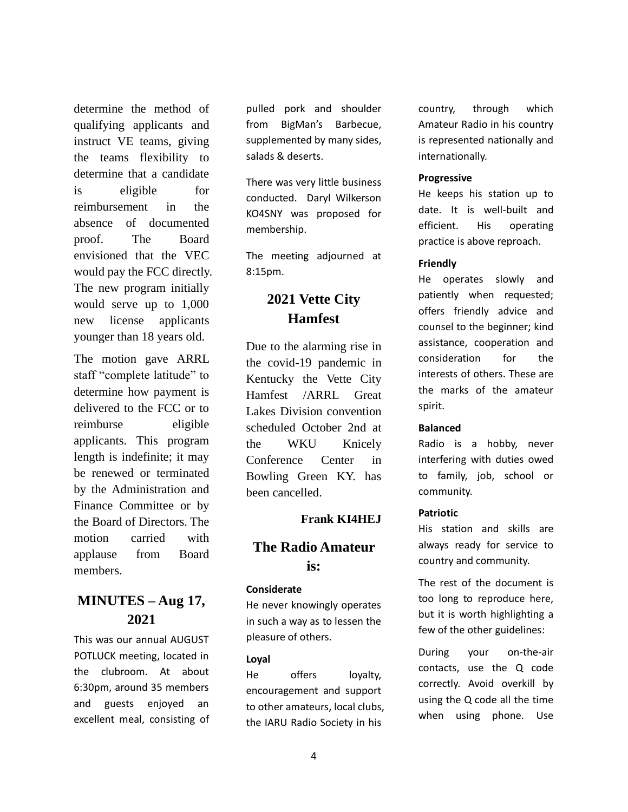determine the method of qualifying applicants and instruct VE teams, giving the teams flexibility to determine that a candidate is eligible for reimbursement in the absence of documented proof. The Board envisioned that the VEC would pay the FCC directly. The new program initially would serve up to 1,000 new license applicants younger than 18 years old.

The motion gave ARRL staff "complete latitude" to determine how payment is delivered to the FCC or to reimburse eligible applicants. This program length is indefinite; it may be renewed or terminated by the Administration and Finance Committee or by the Board of Directors. The motion carried with applause from Board members.

# **MINUTES – Aug 17, 2021**

This was our annual AUGUST POTLUCK meeting, located in the clubroom. At about 6:30pm, around 35 members and guests enjoyed an excellent meal, consisting of

pulled pork and shoulder from BigMan's Barbecue, supplemented by many sides, salads & deserts.

There was very little business conducted. Daryl Wilkerson KO4SNY was proposed for membership.

The meeting adjourned at 8:15pm.

# **2021 Vette City Hamfest**

Due to the alarming rise in the covid-19 pandemic in Kentucky the Vette City Hamfest /ARRL Great Lakes Division convention scheduled October 2nd at the WKU Knicely Conference Center in Bowling Green KY. has been cancelled.

## **Frank KI4HEJ**

## **The Radio Amateur is:**

#### **Considerate**

He never knowingly operates in such a way as to lessen the pleasure of others.

#### **Loyal**

He offers loyalty, encouragement and support to other amateurs, local clubs, the IARU Radio Society in his

country, through which Amateur Radio in his country is represented nationally and internationally.

#### **Progressive**

He keeps his station up to date. It is well-built and efficient. His operating practice is above reproach.

#### **Friendly**

He operates slowly and patiently when requested; offers friendly advice and counsel to the beginner; kind assistance, cooperation and consideration for the interests of others. These are the marks of the amateur spirit.

#### **Balanced**

Radio is a hobby, never interfering with duties owed to family, job, school or community.

### **Patriotic**

His station and skills are always ready for service to country and community.

The rest of the document is too long to reproduce here, but it is worth highlighting a few of the other guidelines:

During your on-the-air contacts, use the Q code correctly. Avoid overkill by using the Q code all the time when using phone. Use